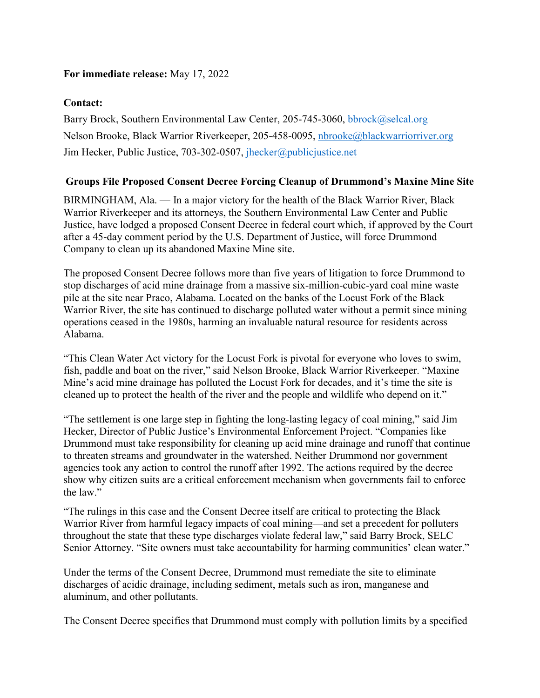## **For immediate release:** May 17, 2022

## **Contact:**

Barry Brock, Southern Environmental Law Center, 205-745-3060, [bbrock@selcal.org](mailto:bbrock@selcal.org)  Nelson Brooke, Black Warrior Riverkeeper, 205-458-0095, [nbrooke@blackwarriorriver.org](mailto:nbrooke@blackwarriorriver.org)  Jim Hecker, Public Justice, 703-302-0507, [jhecker@publicjustice.net](mailto:jhecker@publicjustice.net) 

## **Groups File Proposed Consent Decree Forcing Cleanup of Drummond's Maxine Mine Site**

BIRMINGHAM, Ala. — In a major victory for the health of the Black Warrior River, Black Warrior Riverkeeper and its attorneys, the Southern Environmental Law Center and Public Justice, have lodged a proposed Consent Decree in federal court which, if approved by the Court after a 45-day comment period by the U.S. Department of Justice, will force Drummond Company to clean up its abandoned Maxine Mine site.

The proposed Consent Decree follows more than five years of litigation to force Drummond to stop discharges of acid mine drainage from a massive six-million-cubic-yard coal mine waste pile at the site near Praco, Alabama. Located on the banks of the Locust Fork of the Black Warrior River, the site has continued to discharge polluted water without a permit since mining operations ceased in the 1980s, harming an invaluable natural resource for residents across Alabama.

"This Clean Water Act victory for the Locust Fork is pivotal for everyone who loves to swim, fish, paddle and boat on the river," said Nelson Brooke, Black Warrior Riverkeeper. "Maxine Mine's acid mine drainage has polluted the Locust Fork for decades, and it's time the site is cleaned up to protect the health of the river and the people and wildlife who depend on it."

"The settlement is one large step in fighting the long-lasting legacy of coal mining," said Jim Hecker, Director of Public Justice's Environmental Enforcement Project. "Companies like Drummond must take responsibility for cleaning up acid mine drainage and runoff that continue to threaten streams and groundwater in the watershed. Neither Drummond nor government agencies took any action to control the runoff after 1992. The actions required by the decree show why citizen suits are a critical enforcement mechanism when governments fail to enforce the law."

"The rulings in this case and the Consent Decree itself are critical to protecting the Black Warrior River from harmful legacy impacts of coal mining—and set a precedent for polluters throughout the state that these type discharges violate federal law," said Barry Brock, SELC Senior Attorney. "Site owners must take accountability for harming communities' clean water."

Under the terms of the Consent Decree, Drummond must remediate the site to eliminate discharges of acidic drainage, including sediment, metals such as iron, manganese and aluminum, and other pollutants.

The Consent Decree specifies that Drummond must comply with pollution limits by a specified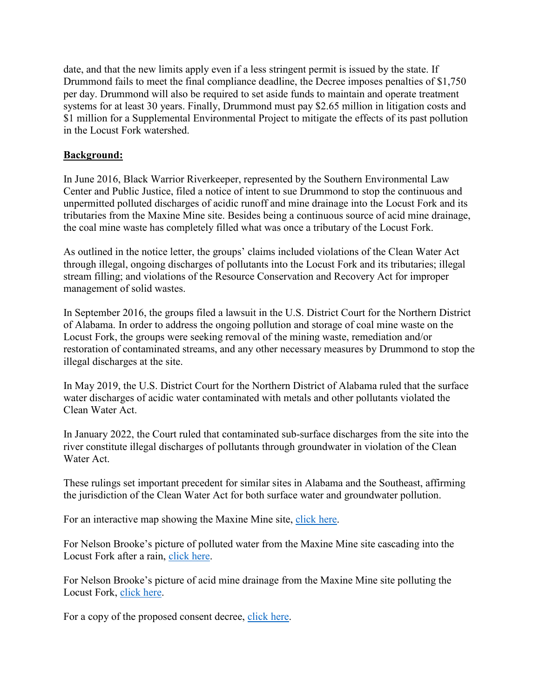date, and that the new limits apply even if a less stringent permit is issued by the state. If Drummond fails to meet the final compliance deadline, the Decree imposes penalties of \$1,750 per day. Drummond will also be required to set aside funds to maintain and operate treatment systems for at least 30 years. Finally, Drummond must pay \$2.65 million in litigation costs and \$1 million for a Supplemental Environmental Project to mitigate the effects of its past pollution in the Locust Fork watershed.

## **Background:**

In June 2016, Black Warrior Riverkeeper, represented by the Southern Environmental Law Center and Public Justice, filed a notice of intent to sue Drummond to stop the continuous and unpermitted polluted discharges of acidic runoff and mine drainage into the Locust Fork and its tributaries from the Maxine Mine site. Besides being a continuous source of acid mine drainage, the coal mine waste has completely filled what was once a tributary of the Locust Fork.

As outlined in the notice letter, the groups' claims included violations of the Clean Water Act through illegal, ongoing discharges of pollutants into the Locust Fork and its tributaries; illegal stream filling; and violations of the Resource Conservation and Recovery Act for improper management of solid wastes.

In September 2016, the groups filed a lawsuit in the U.S. District Court for the Northern District of Alabama. In order to address the ongoing pollution and storage of coal mine waste on the Locust Fork, the groups were seeking removal of the mining waste, remediation and/or restoration of contaminated streams, and any other necessary measures by Drummond to stop the illegal discharges at the site.

In May 2019, the U.S. District Court for the Northern District of Alabama ruled that the surface water discharges of acidic water contaminated with metals and other pollutants violated the Clean Water Act.

In January 2022, the Court ruled that contaminated sub-surface discharges from the site into the river constitute illegal discharges of pollutants through groundwater in violation of the Clean Water Act.

These rulings set important precedent for similar sites in Alabama and the Southeast, affirming the jurisdiction of the Clean Water Act for both surface water and groundwater pollution.

For an interactive map showing the Maxine Mine site, [click](https://www.google.com/maps/d/u/1/viewer?mid=18zNVXC9307MgPdBAVLtbjfsMh88&ll=33.57596663217506,-87.15998584999998&z=16) here.

For Nelson Brooke's picture of polluted water from the Maxine Mine site cascading into the Locust Fork after a rain, click [here.](https://blackwarriorriver.org/wp-content/uploads/2022/05/MaxineMineAMD_2.20.19-scaled.jpg)

For Nelson Brooke's picture of acid mine drainage from the Maxine Mine site polluting the Locust Fork, [click](https://blackwarriorriver.org/wp-content/uploads/2022/05/MaxineMineAMD.LocustFork_2.29.20-scaled.jpg) here.

For a copy of the proposed consent decree, [click](hhttps://blackwarriorriver.org/wp-content/uploads/2022/05/ProposedConsentDecreeAndNoticeOfLodging5.17.2022.pdf) here.